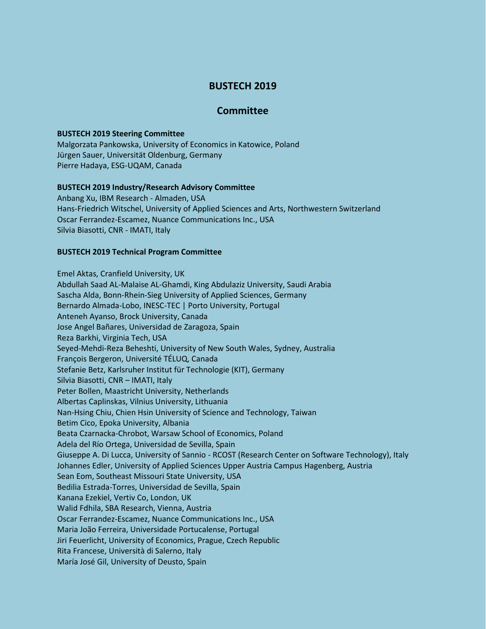# **BUSTECH 2019**

# **Committee**

#### **BUSTECH 2019 Steering Committee**

Malgorzata Pankowska, University of Economics in Katowice, Poland Jürgen Sauer, Universität Oldenburg, Germany Pierre Hadaya, ESG-UQAM, Canada

## **BUSTECH 2019 Industry/Research Advisory Committee**

Anbang Xu, IBM Research - Almaden, USA Hans-Friedrich Witschel, University of Applied Sciences and Arts, Northwestern Switzerland Oscar Ferrandez-Escamez, Nuance Communications Inc., USA Silvia Biasotti, CNR - IMATI, Italy

## **BUSTECH 2019 Technical Program Committee**

Emel Aktas, Cranfield University, UK Abdullah Saad AL-Malaise AL-Ghamdi, King Abdulaziz University, Saudi Arabia Sascha Alda, Bonn-Rhein-Sieg University of Applied Sciences, Germany Bernardo Almada-Lobo, INESC-TEC | Porto University, Portugal Anteneh Ayanso, Brock University, Canada Jose Angel Bañares, Universidad de Zaragoza, Spain Reza Barkhi, Virginia Tech, USA Seyed-Mehdi-Reza Beheshti, University of New South Wales, Sydney, Australia François Bergeron, Université TÉLUQ, Canada Stefanie Betz, Karlsruher Institut für Technologie (KIT), Germany Silvia Biasotti, CNR – IMATI, Italy Peter Bollen, Maastricht University, Netherlands Albertas Caplinskas, Vilnius University, Lithuania Nan-Hsing Chiu, Chien Hsin University of Science and Technology, Taiwan Betim Cico, Epoka University, Albania Beata Czarnacka-Chrobot, Warsaw School of Economics, Poland Adela del Río Ortega, Universidad de Sevilla, Spain Giuseppe A. Di Lucca, University of Sannio - RCOST (Research Center on Software Technology), Italy Johannes Edler, University of Applied Sciences Upper Austria Campus Hagenberg, Austria Sean Eom, Southeast Missouri State University, USA Bedilia Estrada-Torres, Universidad de Sevilla, Spain Kanana Ezekiel, Vertiv Co, London, UK Walid Fdhila, SBA Research, Vienna, Austria Oscar Ferrandez-Escamez, Nuance Communications Inc., USA Maria João Ferreira, Universidade Portucalense, Portugal Jiri Feuerlicht, University of Economics, Prague, Czech Republic Rita Francese, Università di Salerno, Italy María José Gil, University of Deusto, Spain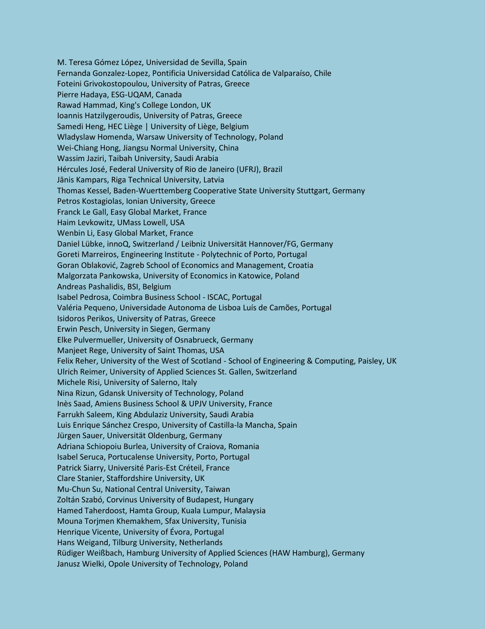M. Teresa Gómez López, Universidad de Sevilla, Spain Fernanda Gonzalez-Lopez, Pontificia Universidad Católica de Valparaíso, Chile Foteini Grivokostopoulou, University of Patras, Greece Pierre Hadaya, ESG-UQAM, Canada Rawad Hammad, King's College London, UK Ioannis Hatzilygeroudis, University of Patras, Greece Samedi Heng, HEC Liège | University of Liège, Belgium Wladyslaw Homenda, Warsaw University of Technology, Poland Wei-Chiang Hong, Jiangsu Normal University, China Wassim Jaziri, Taibah University, Saudi Arabia Hércules José, Federal University of Rio de Janeiro (UFRJ), Brazil Jānis Kampars, Riga Technical University, Latvia Thomas Kessel, Baden-Wuerttemberg Cooperative State University Stuttgart, Germany Petros Kostagiolas, Ionian University, Greece Franck Le Gall, Easy Global Market, France Haim Levkowitz, UMass Lowell, USA Wenbin Li, Easy Global Market, France Daniel Lübke, innoQ, Switzerland / Leibniz Universität Hannover/FG, Germany Goreti Marreiros, Engineering Institute - Polytechnic of Porto, Portugal Goran Oblaković, Zagreb School of Economics and Management, Croatia Malgorzata Pankowska, University of Economics in Katowice, Poland Andreas Pashalidis, BSI, Belgium Isabel Pedrosa, Coimbra Business School - ISCAC, Portugal Valéria Pequeno, Universidade Autonoma de Lisboa Luís de Camões, Portugal Isidoros Perikos, University of Patras, Greece Erwin Pesch, University in Siegen, Germany Elke Pulvermueller, University of Osnabrueck, Germany Manjeet Rege, University of Saint Thomas, USA Felix Reher, University of the West of Scotland - School of Engineering & Computing, Paisley, UK Ulrich Reimer, University of Applied Sciences St. Gallen, Switzerland Michele Risi, University of Salerno, Italy Nina Rizun, Gdansk University of Technology, Poland Inès Saad, Amiens Business School & UPJV University, France Farrukh Saleem, King Abdulaziz University, Saudi Arabia Luis Enrique Sánchez Crespo, University of Castilla-la Mancha, Spain Jürgen Sauer, Universität Oldenburg, Germany Adriana Schiopoiu Burlea, University of Craiova, Romania Isabel Seruca, Portucalense University, Porto, Portugal Patrick Siarry, Université Paris-Est Créteil, France Clare Stanier, Staffordshire University, UK Mu-Chun Su, National Central University, Taiwan Zoltán Szabó, Corvinus University of Budapest, Hungary Hamed Taherdoost, Hamta Group, Kuala Lumpur, Malaysia Mouna Torjmen Khemakhem, Sfax University, Tunisia Henrique Vicente, University of Évora, Portugal Hans Weigand, Tilburg University, Netherlands Rüdiger Weißbach, Hamburg University of Applied Sciences (HAW Hamburg), Germany Janusz Wielki, Opole University of Technology, Poland